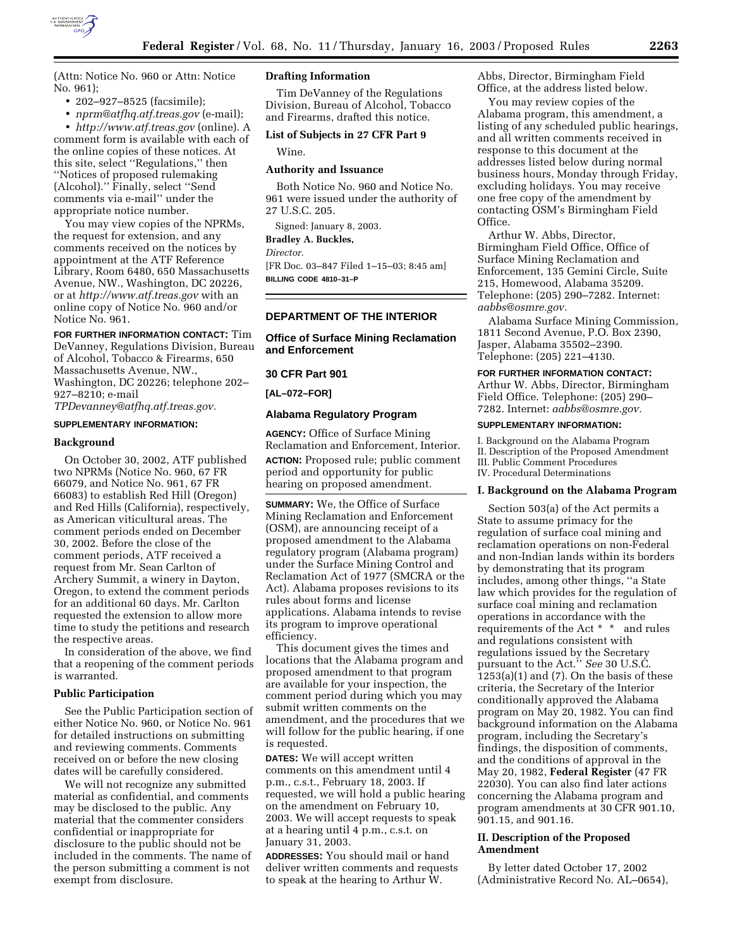

(Attn: Notice No. 960 or Attn: Notice No. 961);

- 202–927–8525 (facsimile);
- *nprm@atfhq.atf.treas.gov* (e-mail);

• *http://www.atf.treas.gov* (online). A comment form is available with each of the online copies of these notices. At this site, select ''Regulations,'' then ''Notices of proposed rulemaking (Alcohol).'' Finally, select ''Send comments via e-mail'' under the appropriate notice number.

You may view copies of the NPRMs, the request for extension, and any comments received on the notices by appointment at the ATF Reference Library, Room 6480, 650 Massachusetts Avenue, NW., Washington, DC 20226, or at *http://www.atf.treas.gov* with an online copy of Notice No. 960 and/or Notice No. 961.

**FOR FURTHER INFORMATION CONTACT:** Tim DeVanney, Regulations Division, Bureau of Alcohol, Tobacco & Firearms, 650 Massachusetts Avenue, NW., Washington, DC 20226; telephone 202– 927–8210; e-mail *TPDevanney@atfhq.atf.treas.gov.*

#### **SUPPLEMENTARY INFORMATION:**

#### **Background**

On October 30, 2002, ATF published two NPRMs (Notice No. 960, 67 FR 66079, and Notice No. 961, 67 FR 66083) to establish Red Hill (Oregon) and Red Hills (California), respectively, as American viticultural areas. The comment periods ended on December 30, 2002. Before the close of the comment periods, ATF received a request from Mr. Sean Carlton of Archery Summit, a winery in Dayton, Oregon, to extend the comment periods for an additional 60 days. Mr. Carlton requested the extension to allow more time to study the petitions and research the respective areas.

In consideration of the above, we find that a reopening of the comment periods is warranted.

#### **Public Participation**

See the Public Participation section of either Notice No. 960, or Notice No. 961 for detailed instructions on submitting and reviewing comments. Comments received on or before the new closing dates will be carefully considered.

We will not recognize any submitted material as confidential, and comments may be disclosed to the public. Any material that the commenter considers confidential or inappropriate for disclosure to the public should not be included in the comments. The name of the person submitting a comment is not exempt from disclosure.

# **Drafting Information**

Tim DeVanney of the Regulations Division, Bureau of Alcohol, Tobacco and Firearms, drafted this notice.

# **List of Subjects in 27 CFR Part 9**

Wine.

## **Authority and Issuance**

Both Notice No. 960 and Notice No. 961 were issued under the authority of 27 U.S.C. 205.

Signed: January 8, 2003.

**Bradley A. Buckles,** 

*Director.*

[FR Doc. 03–847 Filed 1–15–03; 8:45 am] **BILLING CODE 4810–31–P**

## **DEPARTMENT OF THE INTERIOR**

#### **Office of Surface Mining Reclamation and Enforcement**

# **30 CFR Part 901**

**[AL–072–FOR]** 

#### **Alabama Regulatory Program**

**AGENCY:** Office of Surface Mining Reclamation and Enforcement, Interior. **ACTION:** Proposed rule; public comment period and opportunity for public hearing on proposed amendment.

**SUMMARY:** We, the Office of Surface Mining Reclamation and Enforcement (OSM), are announcing receipt of a proposed amendment to the Alabama regulatory program (Alabama program) under the Surface Mining Control and Reclamation Act of 1977 (SMCRA or the Act). Alabama proposes revisions to its rules about forms and license applications. Alabama intends to revise its program to improve operational efficiency.

This document gives the times and locations that the Alabama program and proposed amendment to that program are available for your inspection, the comment period during which you may submit written comments on the amendment, and the procedures that we will follow for the public hearing, if one is requested.

**DATES:** We will accept written comments on this amendment until 4 p.m., c.s.t., February 18, 2003. If requested, we will hold a public hearing on the amendment on February 10, 2003. We will accept requests to speak at a hearing until 4 p.m., c.s.t. on January 31, 2003.

**ADDRESSES:** You should mail or hand deliver written comments and requests to speak at the hearing to Arthur W.

Abbs, Director, Birmingham Field Office, at the address listed below.

You may review copies of the Alabama program, this amendment, a listing of any scheduled public hearings, and all written comments received in response to this document at the addresses listed below during normal business hours, Monday through Friday, excluding holidays. You may receive one free copy of the amendment by contacting OSM's Birmingham Field Office.

Arthur W. Abbs, Director, Birmingham Field Office, Office of Surface Mining Reclamation and Enforcement, 135 Gemini Circle, Suite 215, Homewood, Alabama 35209. Telephone: (205) 290–7282. Internet: *aabbs@osmre.gov.*

Alabama Surface Mining Commission, 1811 Second Avenue, P.O. Box 2390, Jasper, Alabama 35502–2390. Telephone: (205) 221–4130.

**FOR FURTHER INFORMATION CONTACT:** Arthur W. Abbs, Director, Birmingham Field Office. Telephone: (205) 290– 7282. Internet: *aabbs@osmre.gov.*

#### **SUPPLEMENTARY INFORMATION:**

I. Background on the Alabama Program II. Description of the Proposed Amendment III. Public Comment Procedures IV. Procedural Determinations

#### **I. Background on the Alabama Program**

Section 503(a) of the Act permits a State to assume primacy for the regulation of surface coal mining and reclamation operations on non-Federal and non-Indian lands within its borders by demonstrating that its program includes, among other things, ''a State law which provides for the regulation of surface coal mining and reclamation operations in accordance with the requirements of the Act \* \* and rules and regulations consistent with regulations issued by the Secretary pursuant to the Act.'' *See* 30 U.S.C.  $1253(a)(1)$  and (7). On the basis of these criteria, the Secretary of the Interior conditionally approved the Alabama program on May 20, 1982. You can find background information on the Alabama program, including the Secretary's findings, the disposition of comments, and the conditions of approval in the May 20, 1982, **Federal Register** (47 FR 22030). You can also find later actions concerning the Alabama program and program amendments at 30 CFR 901.10, 901.15, and 901.16.

#### **II. Description of the Proposed Amendment**

By letter dated October 17, 2002 (Administrative Record No. AL–0654),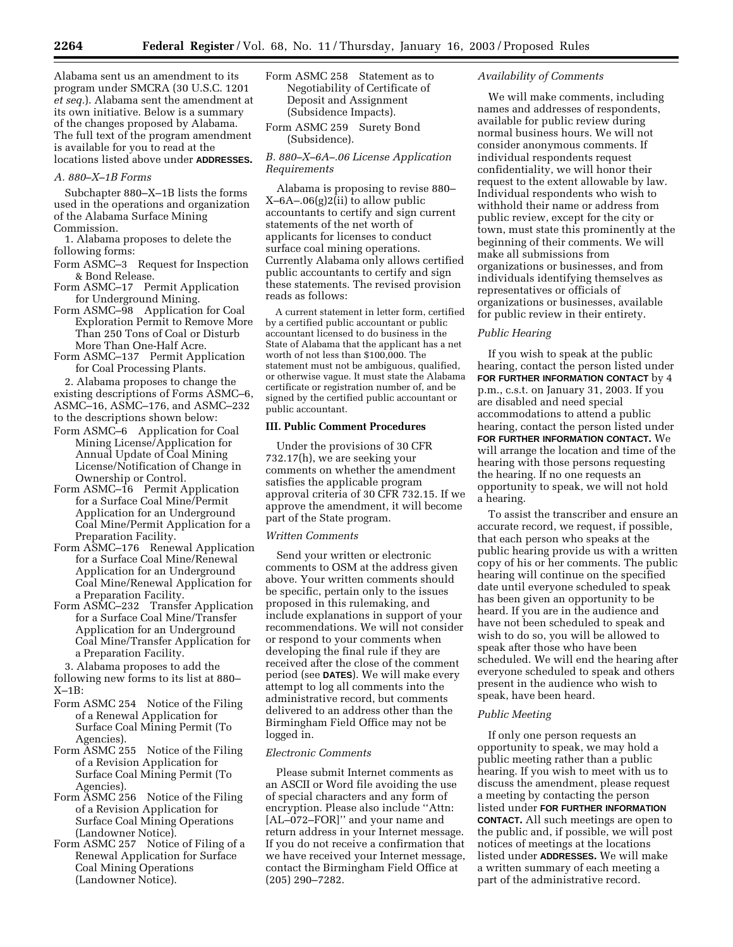Alabama sent us an amendment to its program under SMCRA (30 U.S.C. 1201 *et seq.*). Alabama sent the amendment at its own initiative. Below is a summary of the changes proposed by Alabama. The full text of the program amendment is available for you to read at the locations listed above under **ADDRESSES.**

## *A. 880–X–1B Forms*

Subchapter 880–X–1B lists the forms used in the operations and organization of the Alabama Surface Mining Commission.

1. Alabama proposes to delete the following forms:

- Form ASMC–3 Request for Inspection & Bond Release.
- Form ASMC–17 Permit Application for Underground Mining.
- Form ASMC–98 Application for Coal Exploration Permit to Remove More Than 250 Tons of Coal or Disturb More Than One-Half Acre.
- Form ASMC–137 Permit Application for Coal Processing Plants.

2. Alabama proposes to change the existing descriptions of Forms ASMC–6,

ASMC–16, ASMC–176, and ASMC–232

- to the descriptions shown below:
- Form ASMC–6 Application for Coal Mining License/Application for Annual Update of Coal Mining License/Notification of Change in Ownership or Control.
- Form ASMC–16 Permit Application for a Surface Coal Mine/Permit Application for an Underground Coal Mine/Permit Application for a Preparation Facility.
- Form ASMC–176 Renewal Application for a Surface Coal Mine/Renewal Application for an Underground Coal Mine/Renewal Application for a Preparation Facility.
- Form ASMC–232 Transfer Application for a Surface Coal Mine/Transfer Application for an Underground Coal Mine/Transfer Application for a Preparation Facility.

3. Alabama proposes to add the following new forms to its list at 880– X–1B:

- Form ASMC 254 Notice of the Filing of a Renewal Application for Surface Coal Mining Permit (To Agencies).
- Form ASMC 255 Notice of the Filing of a Revision Application for Surface Coal Mining Permit (To Agencies).
- Form ASMC 256 Notice of the Filing of a Revision Application for Surface Coal Mining Operations (Landowner Notice).
- Form ASMC 257 Notice of Filing of a Renewal Application for Surface Coal Mining Operations (Landowner Notice).
- Form ASMC 258 Statement as to Negotiability of Certificate of Deposit and Assignment (Subsidence Impacts).
- Form ASMC 259 Surety Bond (Subsidence).

## *B. 880–X–6A–.06 License Application Requirements*

Alabama is proposing to revise 880– X–6A–.06(g)2(ii) to allow public accountants to certify and sign current statements of the net worth of applicants for licenses to conduct surface coal mining operations. Currently Alabama only allows certified public accountants to certify and sign these statements. The revised provision reads as follows:

A current statement in letter form, certified by a certified public accountant or public accountant licensed to do business in the State of Alabama that the applicant has a net worth of not less than \$100,000. The statement must not be ambiguous, qualified, or otherwise vague. It must state the Alabama certificate or registration number of, and be signed by the certified public accountant or public accountant.

## **III. Public Comment Procedures**

Under the provisions of 30 CFR 732.17(h), we are seeking your comments on whether the amendment satisfies the applicable program approval criteria of 30 CFR 732.15. If we approve the amendment, it will become part of the State program.

#### *Written Comments*

Send your written or electronic comments to OSM at the address given above. Your written comments should be specific, pertain only to the issues proposed in this rulemaking, and include explanations in support of your recommendations. We will not consider or respond to your comments when developing the final rule if they are received after the close of the comment period (see **DATES**). We will make every attempt to log all comments into the administrative record, but comments delivered to an address other than the Birmingham Field Office may not be logged in.

#### *Electronic Comments*

Please submit Internet comments as an ASCII or Word file avoiding the use of special characters and any form of encryption. Please also include ''Attn: [AL–072–FOR]'' and your name and return address in your Internet message. If you do not receive a confirmation that we have received your Internet message, contact the Birmingham Field Office at (205) 290–7282.

### *Availability of Comments*

We will make comments, including names and addresses of respondents, available for public review during normal business hours. We will not consider anonymous comments. If individual respondents request confidentiality, we will honor their request to the extent allowable by law. Individual respondents who wish to withhold their name or address from public review, except for the city or town, must state this prominently at the beginning of their comments. We will make all submissions from organizations or businesses, and from individuals identifying themselves as representatives or officials of organizations or businesses, available for public review in their entirety.

## *Public Hearing*

If you wish to speak at the public hearing, contact the person listed under **FOR FURTHER INFORMATION CONTACT** by 4 p.m., c.s.t. on January 31, 2003. If you are disabled and need special accommodations to attend a public hearing, contact the person listed under **FOR FURTHER INFORMATION CONTACT.** We will arrange the location and time of the hearing with those persons requesting the hearing. If no one requests an opportunity to speak, we will not hold a hearing.

To assist the transcriber and ensure an accurate record, we request, if possible, that each person who speaks at the public hearing provide us with a written copy of his or her comments. The public hearing will continue on the specified date until everyone scheduled to speak has been given an opportunity to be heard. If you are in the audience and have not been scheduled to speak and wish to do so, you will be allowed to speak after those who have been scheduled. We will end the hearing after everyone scheduled to speak and others present in the audience who wish to speak, have been heard.

#### *Public Meeting*

If only one person requests an opportunity to speak, we may hold a public meeting rather than a public hearing. If you wish to meet with us to discuss the amendment, please request a meeting by contacting the person listed under **FOR FURTHER INFORMATION CONTACT.** All such meetings are open to the public and, if possible, we will post notices of meetings at the locations listed under **ADDRESSES.** We will make a written summary of each meeting a part of the administrative record.